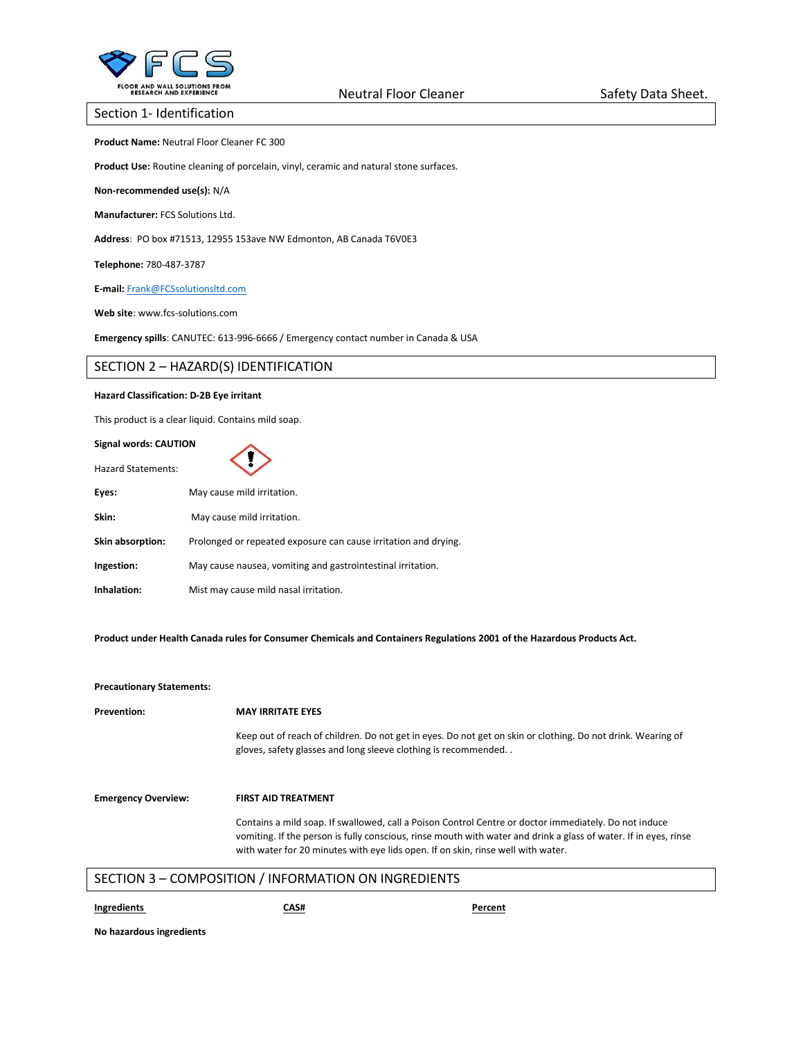

## Section 1- Identification

**Product Name:** Neutral Floor Cleaner FC 300

**Product Use:** Routine cleaning of porcelain, vinyl, ceramic and natural stone surfaces.

**Non-recommended use(s):** N/A

**Manufacturer:** FCS Solutions Ltd.

**Address**: PO box #71513, 12955 153ave NW Edmonton, AB Canada T6V0E3

**Telephone:** 780-487-3787

**E-mail:** [Frank@FCSsolutionsltd.com](mailto:Frank@FCSsolutionsltd.com)

**Web site**: www.fcs-solutions.com

**Emergency spills**: CANUTEC: 613-996-6666 / Emergency contact number in Canada & USA

# SECTION 2 – HAZARD(S) IDENTIFICATION

## **Hazard Classification: D-2B Eye irritant**

This product is a clear liquid. Contains mild soap.

#### **Signal words: CAUTION**

| Signal words: CAUTION     |                                                                 |  |
|---------------------------|-----------------------------------------------------------------|--|
| <b>Hazard Statements:</b> |                                                                 |  |
| Eyes:                     | May cause mild irritation.                                      |  |
| Skin:                     | May cause mild irritation.                                      |  |
| Skin absorption:          | Prolonged or repeated exposure can cause irritation and drying. |  |
| Ingestion:                | May cause nausea, vomiting and gastrointestinal irritation.     |  |
| Inhalation:               | Mist may cause mild nasal irritation.                           |  |

**Product under Health Canada rules for Consumer Chemicals and Containers Regulations 2001 of the Hazardous Products Act.**

### **Precautionary Statements:**

| <b>Prevention:</b>         | <b>MAY IRRITATE EYES</b>                                                                                                                                                                                                                                                                                      |  |
|----------------------------|---------------------------------------------------------------------------------------------------------------------------------------------------------------------------------------------------------------------------------------------------------------------------------------------------------------|--|
|                            | Keep out of reach of children. Do not get in eyes. Do not get on skin or clothing. Do not drink. Wearing of<br>gloves, safety glasses and long sleeve clothing is recommended                                                                                                                                 |  |
| <b>Emergency Overview:</b> | <b>FIRST AID TREATMENT</b>                                                                                                                                                                                                                                                                                    |  |
|                            | Contains a mild soap. If swallowed, call a Poison Control Centre or doctor immediately. Do not induce<br>vomiting. If the person is fully conscious, rinse mouth with water and drink a glass of water. If in eyes, rinse<br>with water for 20 minutes with eye lids open. If on skin, rinse well with water. |  |
|                            | SECTION 3 - COMPOSITION / INFORMATION ON INGREDIENTS                                                                                                                                                                                                                                                          |  |

**Ingredients CAS# Percent**

**No hazardous ingredients**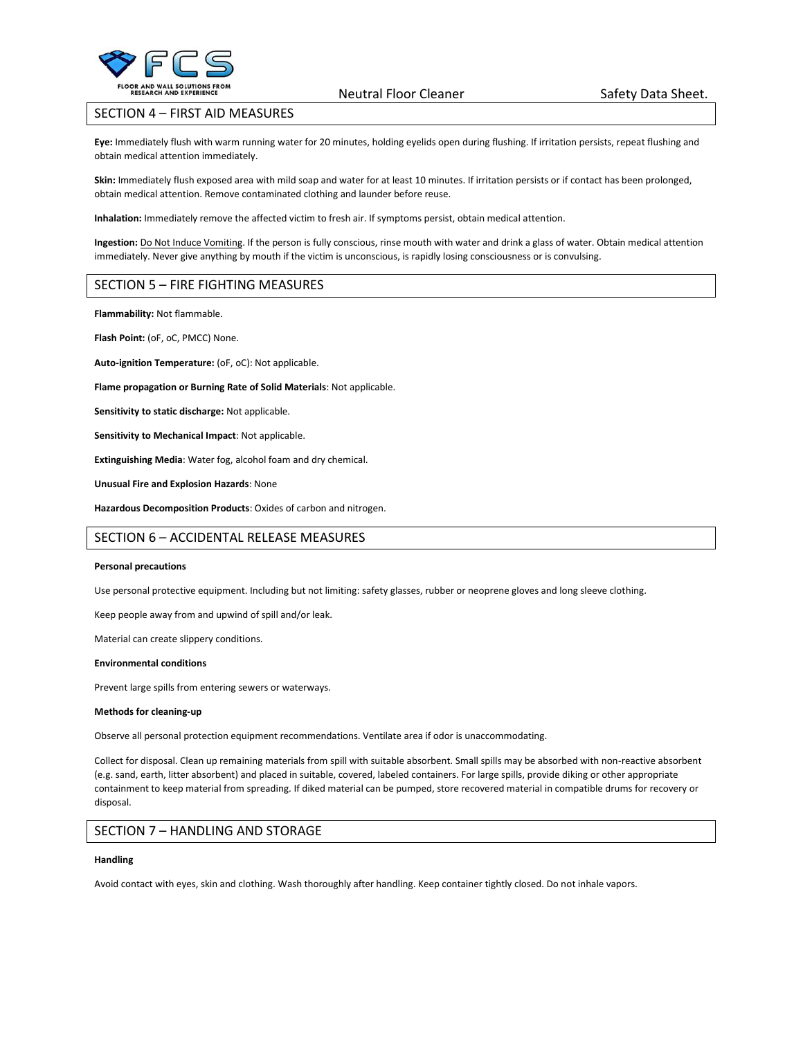

Neutral Floor Cleaner Safety Data Sheet.

# SECTION 4 – FIRST AID MEASURES

**Eye:** Immediately flush with warm running water for 20 minutes, holding eyelids open during flushing. If irritation persists, repeat flushing and obtain medical attention immediately.

**Skin:** Immediately flush exposed area with mild soap and water for at least 10 minutes. If irritation persists or if contact has been prolonged, obtain medical attention. Remove contaminated clothing and launder before reuse.

**Inhalation:** Immediately remove the affected victim to fresh air. If symptoms persist, obtain medical attention.

**Ingestion:** Do Not Induce Vomiting. If the person is fully conscious, rinse mouth with water and drink a glass of water. Obtain medical attention immediately. Never give anything by mouth if the victim is unconscious, is rapidly losing consciousness or is convulsing.

## SECTION 5 – FIRE FIGHTING MEASURES

**Flammability:** Not flammable.

**Flash Point:** (oF, oC, PMCC) None.

**Auto-ignition Temperature:** (oF, oC): Not applicable.

**Flame propagation or Burning Rate of Solid Materials**: Not applicable.

**Sensitivity to static discharge:** Not applicable.

**Sensitivity to Mechanical Impact**: Not applicable.

**Extinguishing Media**: Water fog, alcohol foam and dry chemical.

**Unusual Fire and Explosion Hazards**: None

**Hazardous Decomposition Products**: Oxides of carbon and nitrogen.

## SECTION 6 – ACCIDENTAL RELEASE MEASURES

#### **Personal precautions**

Use personal protective equipment. Including but not limiting: safety glasses, rubber or neoprene gloves and long sleeve clothing.

Keep people away from and upwind of spill and/or leak.

Material can create slippery conditions.

#### **Environmental conditions**

Prevent large spills from entering sewers or waterways.

#### **Methods for cleaning-up**

Observe all personal protection equipment recommendations. Ventilate area if odor is unaccommodating.

Collect for disposal. Clean up remaining materials from spill with suitable absorbent. Small spills may be absorbed with non-reactive absorbent (e.g. sand, earth, litter absorbent) and placed in suitable, covered, labeled containers. For large spills, provide diking or other appropriate containment to keep material from spreading. If diked material can be pumped, store recovered material in compatible drums for recovery or disposal.

## SECTION 7 – HANDLING AND STORAGE

#### **Handling**

Avoid contact with eyes, skin and clothing. Wash thoroughly after handling. Keep container tightly closed. Do not inhale vapors.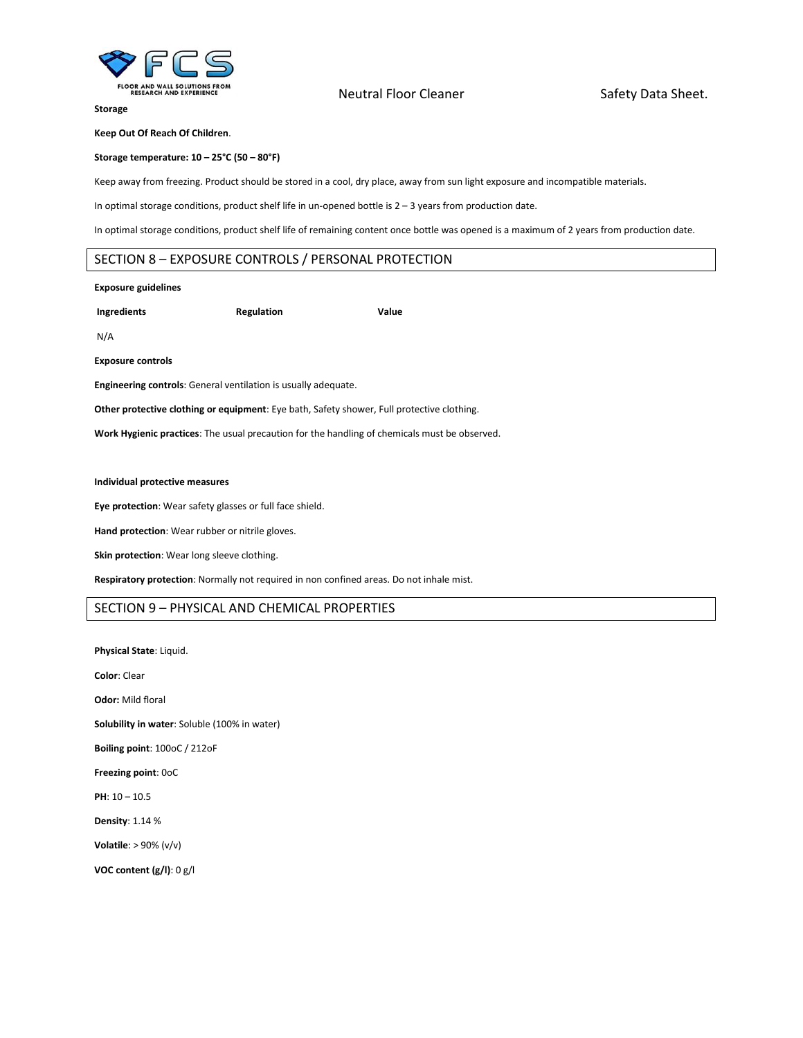

# Neutral Floor Cleaner Safety Data Sheet.

**Storage**

**Keep Out Of Reach Of Children**.

**Storage temperature: 10 – 25°C (50 – 80°F)** 

Keep away from freezing. Product should be stored in a cool, dry place, away from sun light exposure and incompatible materials.

In optimal storage conditions, product shelf life in un-opened bottle is 2 – 3 years from production date.

In optimal storage conditions, product shelf life of remaining content once bottle was opened is a maximum of 2 years from production date.

# SECTION 8 – EXPOSURE CONTROLS / PERSONAL PROTECTION

#### **Exposure guidelines**

**Ingredients Regulation Value** 

N/A

**Exposure controls** 

**Engineering controls**: General ventilation is usually adequate.

**Other protective clothing or equipment**: Eye bath, Safety shower, Full protective clothing.

**Work Hygienic practices**: The usual precaution for the handling of chemicals must be observed.

# **Individual protective measures**

**Eye protection**: Wear safety glasses or full face shield.

**Hand protection**: Wear rubber or nitrile gloves.

**Skin protection**: Wear long sleeve clothing.

**Respiratory protection**: Normally not required in non confined areas. Do not inhale mist.

## SECTION 9 – PHYSICAL AND CHEMICAL PROPERTIES

**Physical State**: Liquid. **Color**: Clear **Odor:** Mild floral **Solubility in water**: Soluble (100% in water) **Boiling point**: 100oC / 212oF **Freezing point**: 0oC **PH**: 10 – 10.5 **Density**: 1.14 % **Volatile**: > 90% (v/v) **VOC content (g/l)**: 0 g/l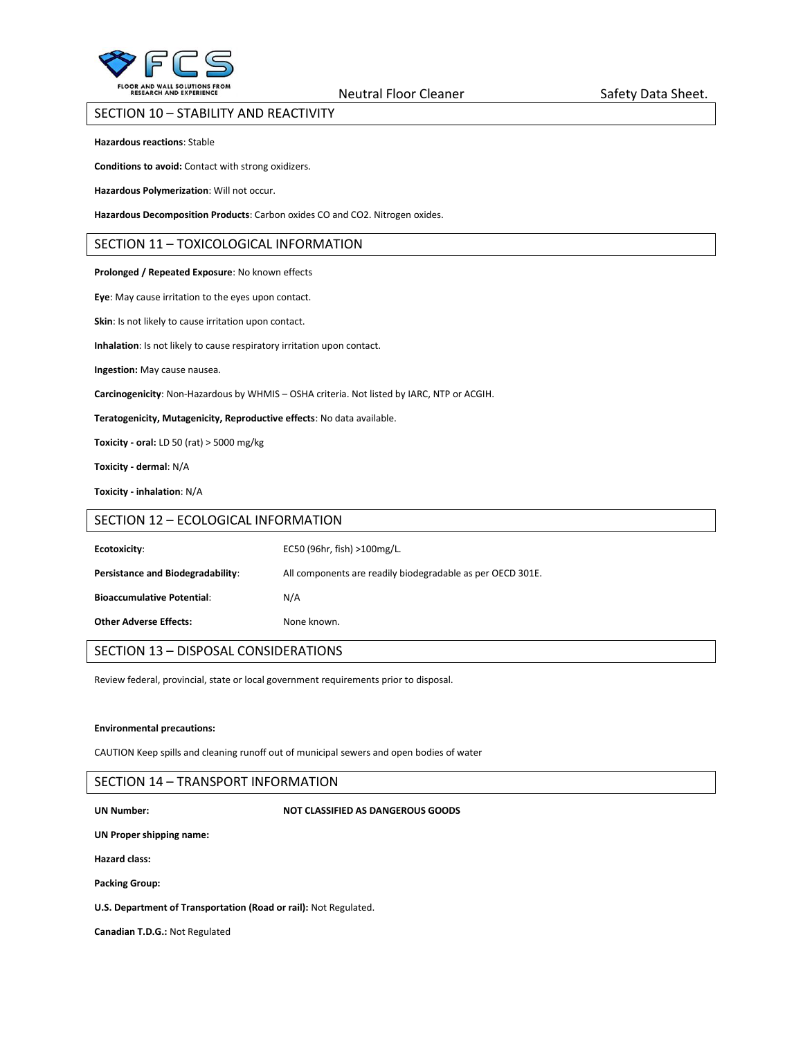

Neutral Floor Cleaner Safety Data Sheet.

## SECTION 10 – STABILITY AND REACTIVITY

**Hazardous reactions**: Stable

**Conditions to avoid:** Contact with strong oxidizers.

**Hazardous Polymerization**: Will not occur.

**Hazardous Decomposition Products**: Carbon oxides CO and CO2. Nitrogen oxides.

## SECTION 11 – TOXICOLOGICAL INFORMATION

#### **Prolonged / Repeated Exposure**: No known effects

**Eye**: May cause irritation to the eyes upon contact.

**Skin**: Is not likely to cause irritation upon contact.

**Inhalation**: Is not likely to cause respiratory irritation upon contact.

**Ingestion:** May cause nausea.

**Carcinogenicity**: Non-Hazardous by WHMIS – OSHA criteria. Not listed by IARC, NTP or ACGIH.

**Teratogenicity, Mutagenicity, Reproductive effects**: No data available.

**Toxicity - oral:** LD 50 (rat) > 5000 mg/kg

**Toxicity - dermal**: N/A

**Toxicity - inhalation**: N/A

## SECTION 12 – ECOLOGICAL INFORMATION

| Ecotoxicity:                      | EC50 (96hr, fish) >100mg/L.                                |
|-----------------------------------|------------------------------------------------------------|
| Persistance and Biodegradability: | All components are readily biodegradable as per OECD 301E. |
| <b>Bioaccumulative Potential:</b> | N/A                                                        |
| <b>Other Adverse Effects:</b>     | None known.                                                |

# SECTION 13 – DISPOSAL CONSIDERATIONS

Review federal, provincial, state or local government requirements prior to disposal.

#### **Environmental precautions:**

CAUTION Keep spills and cleaning runoff out of municipal sewers and open bodies of water

## SECTION 14 – TRANSPORT INFORMATION

#### **UN Number: NOT CLASSIFIED AS DANGEROUS GOODS**

**UN Proper shipping name:** 

**Hazard class:** 

**Packing Group:** 

**U.S. Department of Transportation (Road or rail):** Not Regulated.

**Canadian T.D.G.:** Not Regulated